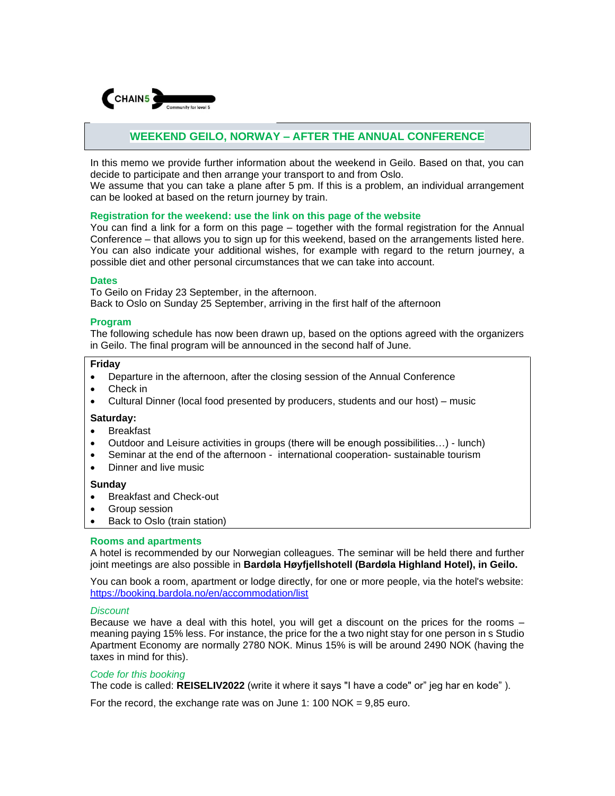

# **WEEKEND GEILO, NORWAY – AFTER THE ANNUAL CONFERENCE**

In this memo we provide further information about the weekend in Geilo. Based on that, you can decide to participate and then arrange your transport to and from Oslo.

We assume that you can take a plane after 5 pm. If this is a problem, an individual arrangement can be looked at based on the return journey by train.

### **Registration for the weekend: use the link on this page of the website**

You can find a link for a form on this page – together with the formal registration for the Annual Conference – that allows you to sign up for this weekend, based on the arrangements listed here. You can also indicate your additional wishes, for example with regard to the return journey, a possible diet and other personal circumstances that we can take into account.

# **Dates**

To Geilo on Friday 23 September, in the afternoon. Back to Oslo on Sunday 25 September, arriving in the first half of the afternoon

### **Program**

The following schedule has now been drawn up, based on the options agreed with the organizers in Geilo. The final program will be announced in the second half of June.

# **Friday**

- Departure in the afternoon, after the closing session of the Annual Conference
- Check in
- Cultural Dinner (local food presented by producers, students and our host) music

#### **Saturday:**

- Breakfast
- Outdoor and Leisure activities in groups (there will be enough possibilities…) lunch)
- Seminar at the end of the afternoon international cooperation- sustainable tourism
- Dinner and live music

# **Sunday**

- Breakfast and Check-out
- Group session
- Back to Oslo (train station)

# **Rooms and apartments**

A hotel is recommended by our Norwegian colleagues. The seminar will be held there and further joint meetings are also possible in **Bardøla Høyfjellshotell (Bardøla Highland Hotel), in Geilo.**

You can book a room, apartment or lodge directly, for one or more people, via the hotel's website: <https://booking.bardola.no/en/accommodation/list>

#### *Discount*

Because we have a deal with this hotel, you will get a discount on the prices for the rooms – meaning paying 15% less. For instance, the price for the a two night stay for one person in s Studio Apartment Economy are normally 2780 NOK. Minus 15% is will be around 2490 NOK (having the taxes in mind for this).

#### *Code for this booking*

The code is called: **REISELIV2022** (write it where it says "I have a code" or" jeg har en kode" ).

For the record, the exchange rate was on June 1: 100 NOK =  $9.85$  euro.